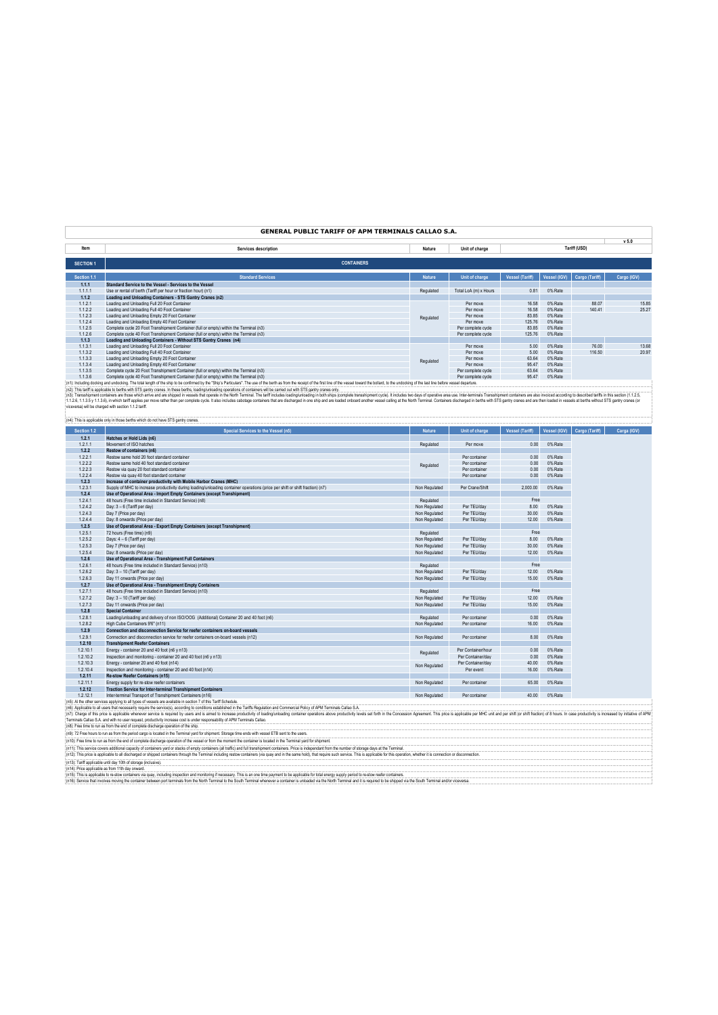|                                                                                        |                                                                                                                                                                                                                                                                                            |                                         |                                                                                                                                                                                                                                                                                                               |                                 |              | v <sub>5.0</sub>               |
|----------------------------------------------------------------------------------------|--------------------------------------------------------------------------------------------------------------------------------------------------------------------------------------------------------------------------------------------------------------------------------------------|-----------------------------------------|---------------------------------------------------------------------------------------------------------------------------------------------------------------------------------------------------------------------------------------------------------------------------------------------------------------|---------------------------------|--------------|--------------------------------|
| Services description                                                                   | Nature                                                                                                                                                                                                                                                                                     | Unit of charge                          |                                                                                                                                                                                                                                                                                                               |                                 |              |                                |
|                                                                                        |                                                                                                                                                                                                                                                                                            |                                         |                                                                                                                                                                                                                                                                                                               |                                 |              |                                |
|                                                                                        |                                                                                                                                                                                                                                                                                            |                                         |                                                                                                                                                                                                                                                                                                               |                                 |              |                                |
|                                                                                        |                                                                                                                                                                                                                                                                                            |                                         |                                                                                                                                                                                                                                                                                                               |                                 |              |                                |
|                                                                                        |                                                                                                                                                                                                                                                                                            |                                         |                                                                                                                                                                                                                                                                                                               |                                 |              | Cargo (IGV)                    |
|                                                                                        |                                                                                                                                                                                                                                                                                            |                                         |                                                                                                                                                                                                                                                                                                               |                                 |              |                                |
| Use or rental of berth (Tariff per hour or fraction hour) (n1)                         | Regulated                                                                                                                                                                                                                                                                                  | Total LoA (m) x Hours                   | 0.81                                                                                                                                                                                                                                                                                                          | 0% Rate                         |              |                                |
| Loading and Unloading Containers - STS Gantry Cranes (n2)                              |                                                                                                                                                                                                                                                                                            |                                         |                                                                                                                                                                                                                                                                                                               |                                 |              |                                |
| Loading and Unloading Full 20 Foot Container                                           |                                                                                                                                                                                                                                                                                            | Per move                                | 16.58                                                                                                                                                                                                                                                                                                         | 0% Rate                         | 88.07        | 15.85                          |
| Loading and Unloading Full 40 Foot Container                                           |                                                                                                                                                                                                                                                                                            | Per move                                | 16.58                                                                                                                                                                                                                                                                                                         | 0% Rate                         | 140.41       | 25.27                          |
| Loading and Unloading Empty 20 Foot Container                                          |                                                                                                                                                                                                                                                                                            | Per move                                | 83 85                                                                                                                                                                                                                                                                                                         | 0% Rate                         |              |                                |
| Loading and Unloading Empty 40 Foot Container                                          |                                                                                                                                                                                                                                                                                            | Per move                                | 125.76                                                                                                                                                                                                                                                                                                        | 0% Rate                         |              |                                |
| Complete cycle 20 Foot Transhipment Container (full or empty) within the Terminal (n3) |                                                                                                                                                                                                                                                                                            | Per complete cycle                      |                                                                                                                                                                                                                                                                                                               | 0% Rate                         |              |                                |
| Complete cycle 40 Foot Transhipment Container (full or empty) within the Terminal (n3) |                                                                                                                                                                                                                                                                                            | Per complete cycle                      | 125.76                                                                                                                                                                                                                                                                                                        | 0% Rate                         |              |                                |
| Loading and Unloading Containers - Without STS Gantry Cranes (n4)                      |                                                                                                                                                                                                                                                                                            |                                         |                                                                                                                                                                                                                                                                                                               |                                 |              |                                |
| Loading and Unloading Full 20 Foot Container                                           |                                                                                                                                                                                                                                                                                            | Per move                                | 5.00                                                                                                                                                                                                                                                                                                          | 0% Rate                         | 76.00        | 13.68                          |
| Loading and Unloading Full 40 Foot Container                                           |                                                                                                                                                                                                                                                                                            | Per move                                | 5.00                                                                                                                                                                                                                                                                                                          | 0% Rate                         | 116.50       | 20.97                          |
| Loading and Unloading Empty 20 Foot Container                                          |                                                                                                                                                                                                                                                                                            | Per move                                | 63.64                                                                                                                                                                                                                                                                                                         | 0% Rate                         |              |                                |
| Loading and Unloading Empty 40 Foot Container                                          |                                                                                                                                                                                                                                                                                            | Per move                                | 95.47                                                                                                                                                                                                                                                                                                         | 0% Rate                         |              |                                |
| Complete cycle 20 Foot Transhipment Container (full or empty) within the Terminal (n3) |                                                                                                                                                                                                                                                                                            | Per complete cycle                      | 63 64                                                                                                                                                                                                                                                                                                         | 0% Rate                         |              |                                |
| Complete cycle 40 Foot Transhipment Container (full or empty) within the Terminal (n3) |                                                                                                                                                                                                                                                                                            | Per complete cycle                      | 95.47                                                                                                                                                                                                                                                                                                         | 0% Rate                         |              |                                |
|                                                                                        |                                                                                                                                                                                                                                                                                            |                                         |                                                                                                                                                                                                                                                                                                               |                                 |              |                                |
|                                                                                        |                                                                                                                                                                                                                                                                                            |                                         |                                                                                                                                                                                                                                                                                                               |                                 |              |                                |
|                                                                                        | <b>CONTAINERS</b><br><b>Standard Services</b><br>Standard Service to the Vessel - Services to the Vessel<br>(n2): This tariff is applicable to berths with STS gantry cranes. In these berths, loading/unloading operations of containers will be carried out with STS gantry cranes only. | <b>Nature</b><br>Regulated<br>Regulated | <b>GENERAL PUBLIC TARIFF OF APM TERMINALS CALLAO S.A.</b><br>Unit of charge<br>(n1): Including docking and undocking. The total length of the ship to be confirmed by the "Ship's Particulars". The use of the berth as from the receipt of the first line of the vessel doward the bollard, to the undocking | <b>Vessel (Tariff)</b><br>83.85 | Vessel (IGV) | Tariff (USD)<br>Cargo (Tariff) |

(n2). This laffis applicable bethe with ST garty cares in thes bethe best, both displaying the other states in the state of the state of the state of the state of the state of the state of the state of the state of the sta

| Section 1.2          | Special Services to the Vessel (n5)                                                                                                                                                                                                                                                                                                                                                                                                                                                                                                                                                                                                             | <b>Nature</b> | <b>Unit of charge</b>          | <b>Vessel (Tariff)</b> | Vessel (IGV)       |
|----------------------|-------------------------------------------------------------------------------------------------------------------------------------------------------------------------------------------------------------------------------------------------------------------------------------------------------------------------------------------------------------------------------------------------------------------------------------------------------------------------------------------------------------------------------------------------------------------------------------------------------------------------------------------------|---------------|--------------------------------|------------------------|--------------------|
| 1.2.1                | Hatches or Hold Lids (n6)                                                                                                                                                                                                                                                                                                                                                                                                                                                                                                                                                                                                                       |               |                                |                        |                    |
|                      | Movement of ISO hatches                                                                                                                                                                                                                                                                                                                                                                                                                                                                                                                                                                                                                         | Regulated     | Per move                       | 0.00                   | 0% Rate            |
|                      | Restow of containers (n6)                                                                                                                                                                                                                                                                                                                                                                                                                                                                                                                                                                                                                       |               |                                |                        |                    |
| 1.2.2.1              | Restow same hold 20 foot standard container                                                                                                                                                                                                                                                                                                                                                                                                                                                                                                                                                                                                     |               | Per container                  | 0.00                   | 0% Rate            |
| 1.2.2.2              | Restow same hold 40 foot standard container                                                                                                                                                                                                                                                                                                                                                                                                                                                                                                                                                                                                     | Regulated     | Per container                  | 0.00                   | 0% Rate            |
| 1.2.2.3              | Restow via quay 20 foot standard container                                                                                                                                                                                                                                                                                                                                                                                                                                                                                                                                                                                                      |               | Per container                  | 0.00                   | 0% Rate            |
| 1.2.2.4              | Restow via quay 40 foot standard container                                                                                                                                                                                                                                                                                                                                                                                                                                                                                                                                                                                                      |               | Per container                  | 0.00                   | 0% Rate            |
| 1.2.3                | Increase of container productivity with Mobile Harbor Cranes (MHC)                                                                                                                                                                                                                                                                                                                                                                                                                                                                                                                                                                              |               |                                |                        |                    |
| 1.2.3.1              | Supply of MHC to increase productivity during loading/unloading container operations (price per shift or shift fraction) (n7)                                                                                                                                                                                                                                                                                                                                                                                                                                                                                                                   | Non Regulated | Per Crane/Shift                | 2.000.00               | 0% Rate            |
| 1.2.4                | Use of Operational Area - Import Empty Containers (except Transhipment)                                                                                                                                                                                                                                                                                                                                                                                                                                                                                                                                                                         |               |                                |                        |                    |
| 1.2.4.1              | 48 hours (Free time included in Standard Service) (n8)                                                                                                                                                                                                                                                                                                                                                                                                                                                                                                                                                                                          | Regulated     |                                | Free                   |                    |
| 1.2.4.2              | Day: 3 - 6 (Tariff per day)                                                                                                                                                                                                                                                                                                                                                                                                                                                                                                                                                                                                                     | Non Regulated | Per TEU/dav                    | 8.00                   | 0% Rate            |
| 1.2.4.3              | Day 7 (Price per day)                                                                                                                                                                                                                                                                                                                                                                                                                                                                                                                                                                                                                           | Non Regulated | Per TEU/day                    | 30.00                  | 0% Rate            |
| 1.2.4.4              | Day: 8 onwards (Price per day)                                                                                                                                                                                                                                                                                                                                                                                                                                                                                                                                                                                                                  | Non Regulated | Per TEU/dav                    | 12.00                  | 0% Rate            |
| 1.2.5                | Use of Operational Area - Export Empty Containers (except Transhipment)                                                                                                                                                                                                                                                                                                                                                                                                                                                                                                                                                                         |               |                                |                        |                    |
| 1.2.5.1              | 72 hours (Free time) (n9)                                                                                                                                                                                                                                                                                                                                                                                                                                                                                                                                                                                                                       | Regulated     |                                | Free                   |                    |
| 1.2.5.2              | Days: 4 - 6 (Tariff per day)                                                                                                                                                                                                                                                                                                                                                                                                                                                                                                                                                                                                                    | Non Regulated | Per TEU/dav                    | 8.00                   | 0% Rate            |
| 1.2.5.3              | Day 7 (Price per day)                                                                                                                                                                                                                                                                                                                                                                                                                                                                                                                                                                                                                           | Non Regulated | Per TEU/day                    | 30.00                  | 0% Rate            |
| 1.2.5.4              | Day: 8 onwards (Price per day)                                                                                                                                                                                                                                                                                                                                                                                                                                                                                                                                                                                                                  | Non Regulated | Per TEU/dav                    | 12.00                  | 0% Rate            |
| 1.2.6                | Use of Operational Area - Transhipment Full Containers                                                                                                                                                                                                                                                                                                                                                                                                                                                                                                                                                                                          |               |                                |                        |                    |
| 1.2.6.1              | 48 hours (Free time included in Standard Service) (n10)                                                                                                                                                                                                                                                                                                                                                                                                                                                                                                                                                                                         | Regulated     |                                | Free                   |                    |
| 1.2.6.2              | Day: 3 - 10 (Tariff per day)                                                                                                                                                                                                                                                                                                                                                                                                                                                                                                                                                                                                                    | Non Regulated | Per TEU/day                    | 12.00                  | 0% Rate            |
| 1.2.6.3              | Day 11 onwards (Price per day)                                                                                                                                                                                                                                                                                                                                                                                                                                                                                                                                                                                                                  | Non Regulated | Per TEU/dav                    | 15.00                  | 0% Rate            |
| 1.2.7                | Use of Operational Area - Transhipment Empty Containers                                                                                                                                                                                                                                                                                                                                                                                                                                                                                                                                                                                         |               |                                |                        |                    |
| 1.2.7.1              | 48 hours (Free time included in Standard Service) (n10)                                                                                                                                                                                                                                                                                                                                                                                                                                                                                                                                                                                         | Regulated     |                                | Free                   |                    |
| 1.2.7.2              | Day: 3 - 10 (Tariff per day)                                                                                                                                                                                                                                                                                                                                                                                                                                                                                                                                                                                                                    | Non Regulated | Per TEU/day                    | 12.00                  | 0% Rate            |
| 1.2.7.3              | Day 11 onwards (Price per day)                                                                                                                                                                                                                                                                                                                                                                                                                                                                                                                                                                                                                  | Non Regulated | Per TEU/dav                    | 15.00                  | 0% Rate            |
| 1.2.8                | <b>Special Container</b>                                                                                                                                                                                                                                                                                                                                                                                                                                                                                                                                                                                                                        |               |                                |                        |                    |
| 1.2.8.1              | Loading/unloading and delivery of non ISO/OOG (Additional) Container 20 and 40 foot (n6)                                                                                                                                                                                                                                                                                                                                                                                                                                                                                                                                                        | Regulated     | Per container                  | 0.00                   | 0% Rate            |
| 1.2.8.2              | High Cube Containers 9'6" (n11)                                                                                                                                                                                                                                                                                                                                                                                                                                                                                                                                                                                                                 | Non Regulated | Per container                  | 16.00                  | 0% Rate            |
|                      | Connection and disconnection Service for reefer containers on-board vessels                                                                                                                                                                                                                                                                                                                                                                                                                                                                                                                                                                     |               |                                |                        |                    |
| 1.2.9<br>1.2.9.1     | Connection and disconnection service for reefer containers on-board vessels (n12)                                                                                                                                                                                                                                                                                                                                                                                                                                                                                                                                                               | Non Regulated | Per container                  | 8.00                   | 0% Rate            |
| 1.2.10               | <b>Transhipment Reefer Containers</b>                                                                                                                                                                                                                                                                                                                                                                                                                                                                                                                                                                                                           |               |                                |                        |                    |
|                      |                                                                                                                                                                                                                                                                                                                                                                                                                                                                                                                                                                                                                                                 |               | Per Container/hour             | 0.00                   | 0% Rate            |
| 1.2.10.1<br>1.2.10.2 | Energy - container 20 and 40 foot (n6 y n13)                                                                                                                                                                                                                                                                                                                                                                                                                                                                                                                                                                                                    | Regulated     | Per Container/day              | 0.00                   | 0% Rate            |
|                      | Inspection and monitoring - container 20 and 40 foot (n6 y n13)                                                                                                                                                                                                                                                                                                                                                                                                                                                                                                                                                                                 |               |                                |                        |                    |
| 1.2.10.3             | Energy - container 20 and 40 foot (n14).                                                                                                                                                                                                                                                                                                                                                                                                                                                                                                                                                                                                        | Non Regulated | Per Container/day<br>Per event | 40.00<br>16.00         | 0% Rate<br>0% Rate |
| 1.2.10.4             | Inspection and monitoring - container 20 and 40 foot (n14)                                                                                                                                                                                                                                                                                                                                                                                                                                                                                                                                                                                      |               |                                |                        |                    |
| 1.2.11               | Re-stow Reefer Containers (n15)                                                                                                                                                                                                                                                                                                                                                                                                                                                                                                                                                                                                                 |               |                                |                        |                    |
| 1.2.11.1             | Energy supply for re-stow reefer containers                                                                                                                                                                                                                                                                                                                                                                                                                                                                                                                                                                                                     | Non Regulated | Per container                  | 65.00                  | 0% Rate            |
| 1.2.12               | <b>Traction Service for Inter-terminal Transhipment Containers</b>                                                                                                                                                                                                                                                                                                                                                                                                                                                                                                                                                                              |               |                                |                        |                    |
| 1.2.12.1             | Inter-terminal Transport of Transhipment Containers (n16)                                                                                                                                                                                                                                                                                                                                                                                                                                                                                                                                                                                       | Non Regulated | Per container                  | 40.00                  | 0% Rate            |
|                      | (n5): Al the other services applying to all types of vessels are available in section 7 of this Tariff Schedule.                                                                                                                                                                                                                                                                                                                                                                                                                                                                                                                                |               |                                |                        |                    |
|                      | (n6): Applicable to all users that necessarily require the service(s), according to conditions established in the Tariffs Regulation and Commercial Policy of APM Terminals Callao S.A.<br>(n7): Charge of this price is applicable whenever service is required by users and is aimed to increase productivity of loading/unloading container operations above productivity levels set forth in the Concession Agreement<br>Terminals Callao S.A. and with no user request, productivity increase cost is under responsability of APM Terminals Callao.<br>(n8): Free time to run as from the end of complete discharge operation of the ship. |               |                                |                        |                    |
|                      | (n9): 72 Free hours to run as from the period cargo is located in the Terminal yard for shipment. Storage time ends with vessel ETB sent to the users.                                                                                                                                                                                                                                                                                                                                                                                                                                                                                          |               |                                |                        |                    |
|                      | (n10): Free time to run as from the end of complete discharge operation of the vessel or from the moment the container is located in the Terminal yard for shipment.                                                                                                                                                                                                                                                                                                                                                                                                                                                                            |               |                                |                        |                    |
|                      | (n11): This service covers additional capacity of containers yard or stacks of empty containers (all traffic) and full transhipment containers. Price is independant from the number of storage days at the Terminal.<br>(n12): This price is applicable to all discharged or shipped containers through the Terminal including restow containers (via quay and in the same hold), that require such service. This is applicable for this operation, wh                                                                                                                                                                                         |               |                                |                        |                    |

(n16): Service that involves moving the container between port terminals from the North Terminal to the South Terminal whenever a container is unloaded via the North Terminal and it is required to be shipped via the South (n14): Price applicable as from 11th day onward.<br>(n15): This is applicable to re-stow containers via quay, including inspection and monitoring if necessary. This is an one time payment to be applicable for total energy sup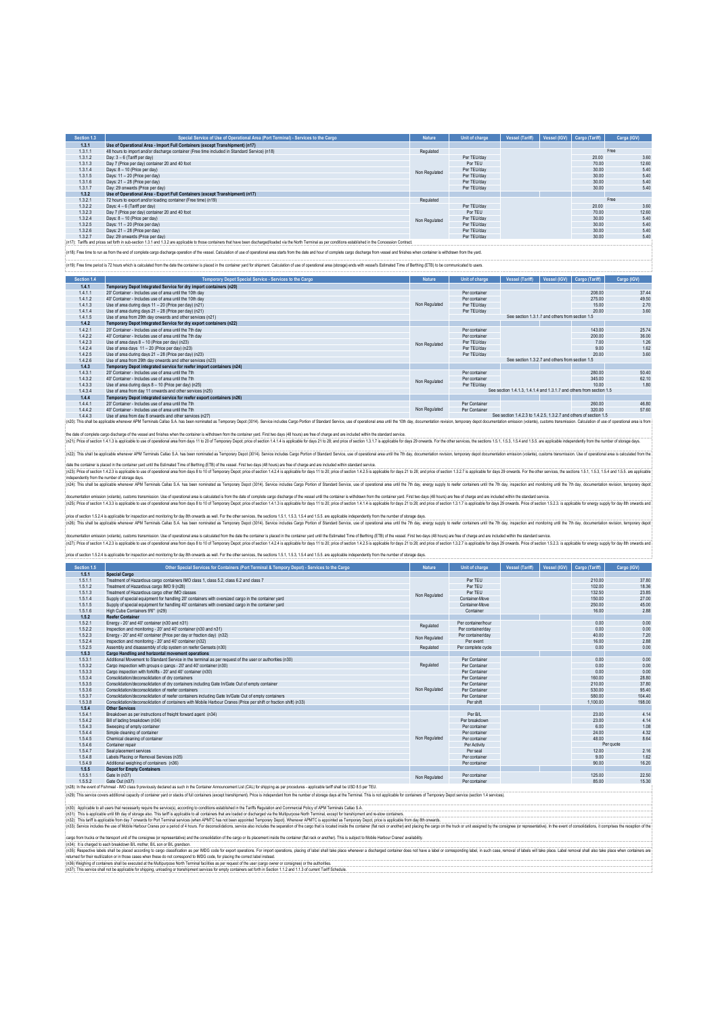| Section 1.3 | Special Service of Use of Operational Area (Port Terminal) - Services to the Cargo           | <b>Nature</b> | Unit of charge | <b>Vessel (Tariff)</b> | Vessel (IGV) Cargo (Tariff) | Carga (IGV) |
|-------------|----------------------------------------------------------------------------------------------|---------------|----------------|------------------------|-----------------------------|-------------|
| 1.3.1       | Use of Operational Area - Import Full Containers (except Transhipment) (n17)                 |               |                |                        |                             |             |
| 1.3.1.1     | 48 hours to import and/or discharge container (Free time included in Standard Service) (n18) | Regulated     |                |                        |                             | Free        |
| 1.3.1.2     | Day: 3 - 6 (Tariff per day)                                                                  |               | Per TEU/dav    |                        | 20.00                       | 3.60        |
| 1.3.1.3     | Day 7 (Price per day) container 20 and 40 foot                                               |               | Por TEU        |                        | 70.00                       | 12.60       |
| 1.3.1.4     | Days: 8 - 10 (Price per day)                                                                 | Non Regulated | Per TEU/dav    |                        | 30.00                       | 5.40        |
| 1.3.1.5     | Days: 11 - 20 (Price per day)                                                                |               | Per TEU/dav    |                        | 30.00                       | 5.40        |
| 1.3.1.6     | Days: 21 - 28 (Price per day)                                                                |               | Per TEU/dav    |                        | 30.00                       | 5.40        |
| 1.3.1.7     | Day: 29 onwards (Price per day)                                                              |               | Per TEU/dav    |                        | 30.00                       | 5.40        |
| 1.3.2       | Use of Operational Area - Export Full Containers (except Transhipment) (n17)                 |               |                |                        |                             |             |
| 1.3.2.1     | 72 hours to export and/or loading container (Free time) (n19)                                | Regulated     |                |                        |                             | Free        |
| 1.3.2.2     | Days: 4 - 6 (Tariff per day)                                                                 |               | Per TEU/dav    |                        | 20.00                       | 3.60        |
| 1.3.2.3     | Day 7 (Price per day) container 20 and 40 foot                                               |               | Por TEU        |                        | 70.00                       | 12.60       |
| 1.3.2.4     | Days: 8 - 10 (Price per day)                                                                 | Non Regulated | Per TEU/dav    |                        | 30.00                       | 5.40        |
| 1.3.2.5     | Days: 11 - 20 (Price per day)                                                                |               | Per TEU/dav    |                        | 30.00                       | 5.40        |
| 1.3.2.6     | Days: 21 - 28 (Price per day)                                                                |               | Per TEU/dav    |                        | 30.00                       | 5.40        |
| 1.3.2.7     | Day: 29 onwards (Price per day)<br>.                                                         |               | Per TEU/dav    |                        | 30.00                       | 5.40        |

(n17): Tariffs and prices set forth in sub-section 1.3.1 and 1.3.2 are applicable to those containers that have been discharged/loaded via the North Terminal as per conditions established in the Concession Contract. in 18). Free time to run as from the end of complete carno discharge operation of the vessel. Calculation of use of operational area starts from the date and hour of complete carno discharge from vessel and finishes when c

:<br>in 19): Free time period is 72 hours which is calculated from the date the container is placed in the container vard for shipment. Calculation of use of operational area (storage) ends with vessel's Estimated Time of Ber

| Section 1.4 | Temporary Depot Special Service - Services to the Cargo                                                                                                                                                                        | <b>Nature</b> | Unit of charge | <b>Vessel (Tariff)</b>                                               | Vessel (IGV) | Cargo (Tariff) | Cargo (IGV) |  |
|-------------|--------------------------------------------------------------------------------------------------------------------------------------------------------------------------------------------------------------------------------|---------------|----------------|----------------------------------------------------------------------|--------------|----------------|-------------|--|
| 1.4.1       | Temporary Depot Integrated Service for dry import containers (n20)                                                                                                                                                             |               |                |                                                                      |              |                |             |  |
| 1.4.1.1     | 20' Container - Includes use of area until the 10th day                                                                                                                                                                        |               | Per container  |                                                                      |              | 208.00         | 374         |  |
| 1.4.1.2     | 40' Container - Includes use of area until the 10th day                                                                                                                                                                        |               | Per container  |                                                                      |              | 275.00         | 49.5        |  |
| 1.4.1.3     | Use of area during days 11 - 20 (Price per day) (n21)                                                                                                                                                                          | Non Regulated | Per TEU/dav    |                                                                      |              | 15.00          | 2.70        |  |
| 1.4.1.4     | Use of area during days 21 - 28 (Price per day) (n21)                                                                                                                                                                          |               | Per TEU/dav    |                                                                      |              | 20.00          | 3.6         |  |
| 1.4.1.5     | Use of area from 29th day onwards and other services (n21)                                                                                                                                                                     |               |                | See section 1.3.1.7 and others from section 1.5                      |              |                |             |  |
| 1.4.2       | Temporary Depot Integrated Service for dry export containers (n22)                                                                                                                                                             |               |                |                                                                      |              |                |             |  |
| 1.4.2.1     | 20' Container - Includes use of area until the 7th day                                                                                                                                                                         |               | Per container  |                                                                      |              | 143.00         | 25.74       |  |
| 1.4.2.2     | 40' Container - Includes use of area until the 7th day                                                                                                                                                                         |               | Per container  |                                                                      |              | 200.00         | 36.0        |  |
| 1.4.2.3     | Use of area days $8 - 10$ (Price per day) (n23)                                                                                                                                                                                | Non Regulated | Per TEU/dav    |                                                                      |              | 7.00           | 12l         |  |
| 1.4.2.4     | Use of area days 11 - 20 (Price per day) (n23)                                                                                                                                                                                 |               | Per TEU/dav    |                                                                      |              | 9.00           | 1.62        |  |
| 1.4.2.5     | Use of area during days 21 - 28 (Price per day) (n23)                                                                                                                                                                          |               | Per TEU/dav    |                                                                      |              | 20.00          | 3.6         |  |
| 1.4.2.6     | Use of area from 29th day onwards and other services (n23)                                                                                                                                                                     |               |                | See section 1.3.2.7 and others from section 1.5                      |              |                |             |  |
| 1.4.3       | Temporary Depot integrated service for reefer import containers (n24)                                                                                                                                                          |               |                |                                                                      |              |                |             |  |
| 1.4.3.1     | 20' Container - Includes use of area until the 7th                                                                                                                                                                             |               | Per container  |                                                                      |              | 280.00         | 50.4        |  |
| 1.4.3.2     | 40' Container - Includes use of area until the 7th                                                                                                                                                                             | Non Regulated | Per container  |                                                                      |              | 345.00         | 62.1        |  |
| 1.4.3.3     | Use of area during days 8 - 10 (Price per day) (n25)                                                                                                                                                                           |               | Per TEU/dav    |                                                                      |              | 10.00          | 1.8         |  |
| 1.4.3.4     | Use of area from day 11 onwards and other services (n25)                                                                                                                                                                       |               |                | See section 1.4.1.3. 1.4.1.4 and 1.3.1.7 and others from section 1.5 |              |                |             |  |
| 1.4.4       | Temporary Depot integrated service for reefer export containers (n26)                                                                                                                                                          |               |                |                                                                      |              |                |             |  |
| 1.4.4.1     | 20' Container - Includes use of area until the 7th                                                                                                                                                                             |               | Per Container  |                                                                      |              | 260.00         | 46.8        |  |
| 1.4.4.2     | 40' Container - Includes use of area until the 7th                                                                                                                                                                             | Non Regulated | Per Container  |                                                                      |              | 320.00         | 57.6        |  |
| 1.4.4.3     | Use of area from day 8 onwards and other services (n27)                                                                                                                                                                        |               |                | See section 1.4.2.3 to 1.4.2.5, 1.3.2.7 and others of section 1.5    |              |                |             |  |
|             | (n20): This shall be applicable whenever APM Terminals Callao S.A. has been nominated as Temporary Depot (3014). Service includes Cargo Portion of Standard Service, use of operational area until the 10th day, documentation |               |                |                                                                      |              |                |             |  |

the date downlete angoles of the essel and finites when the container in which are houtlane to the container yad Finit the top of play are the drainly and an inducture intered in the standard in the standard in the standar

(n22): This shall be applicable whenever APM Terminals Calao S.A. has been nominated as Tempony Depot (2014). Service includes Cargo Portion of Standard Service, use of operational area until the 7th day, documentation rev

dat browniers is pack in the contain your under Entimated Time of Berinnic (ET of the wessel. Fixth days (et hourse in the of changes in to 20) the change of the change of the change of the change of the change of the chan

documentation (which contains the man one of the man are is calculed is conceiled to man to complet any of the weal with the containers in the container ynd. First man in containers and the state of change of changes in th

pice desicon 15.24 is applicable inspection ad motionig trap in owears a well. For the chrone secure, the 3.15.3.15 and 15.5 an applicable inspending from tumber of streamed in a more of such as a chrone of such as a const

focumention ensist (visual production that of a propretion area is calculated to the the container is placed in the Estimated Time of Time of Time of the seale free paid of the seale in the Seale of the Seale of the Seale

price of section 1.5.2.4 is applicable for inspection and monitoring for day 8th onwards as well. For the other services, the sections 1.5.1, 1.5.3, 1.5.4 and 1.5.5. are applicable independently from the number of storage

| Section 1.5 | Other Special Services for Containers (Port Terminal & Tempory Depot) - Services to the Cargo                                                                                                  | <b>Nature</b> | Unit of charge     | <b>Vessel (Tariff)</b> | Vessel (IGV) | Cargo (Tariff) | Cargo (IGV) |
|-------------|------------------------------------------------------------------------------------------------------------------------------------------------------------------------------------------------|---------------|--------------------|------------------------|--------------|----------------|-------------|
| 1.5.1       | Special Cargo                                                                                                                                                                                  |               |                    |                        |              |                |             |
| 1.5.1.1     | Treatment of Hazardous cargo containers IMO class 1, class 5.2, class 6.2 and class 7                                                                                                          |               | Per TEU            |                        |              | 210.00         | 37.80       |
| 1.5.1.2     | Treatment of Hazardous caroo IMO 9 (n28)                                                                                                                                                       |               | Per TEU            |                        |              | 102.00         | 18.36       |
| 1.5.1.3     | Treatment of Hazardous cargo other IMO classes                                                                                                                                                 |               | Per TEU            |                        |              | 132.50         | 23.85       |
| 1.5.1.4     | Supply of special equipment for bandling 20' containers with oversized cargo in the container vard                                                                                             | Non Regulated | Container-Move     |                        |              | 150.00         | 27.00       |
| 1.5.1.5     | Supply of special equipment for handling 40' containers with oversized cargo in the container vard                                                                                             |               | Container-Move     |                        |              | 250.00         | 45.00       |
| 1.5.1.6     | High Cube Containers 9'6" (n29)                                                                                                                                                                |               | Container          |                        |              | 16.00          | 2.88        |
| 1.5.2       | <b>Reefer Container</b>                                                                                                                                                                        |               |                    |                        |              |                |             |
| 1.5.2.1     | Energy - 20' and 40' container (n30 and n31)                                                                                                                                                   |               | Per container/hour |                        |              | 0.00           | 0.00        |
| 1.5.2.2     | Inspection and monitoring - 20' and 40' container (n30 and n31)                                                                                                                                | Regulated     | Per container/day  |                        |              | 0.00           | 0.00        |
| 1.5.2.3     | Energy - 20' and 40' container (Price per day or fraction day) (n32)                                                                                                                           | Non Regulated | Per container/day  |                        |              | 40.00          | 7.20        |
| 1.5.2.4     | Inspection and monitoring - 20' and 40' container (n32).                                                                                                                                       |               | Per event          |                        |              | 16.00          | 2.88        |
| 1.5.2.5     | Assembly and disassembly of clip system on reefer Gensets (n30)                                                                                                                                | Regulated     | Per complete cycle |                        |              | 0.00           | 0.00        |
| 1.5.3       | Cargo Handling and horizontal movement operations                                                                                                                                              |               |                    |                        |              |                |             |
| 1.5.3.1     | Additional Movement to Standard Service in the terminal as per request of the user or authorities (n30)                                                                                        |               | Per Container      |                        |              | 0.00           | 0.00        |
| 1.5.3.2     | Cargo inspection with groups o gangs - 20' and 40' container (n30)                                                                                                                             | Regulated     | Per Container      |                        |              | 0.00           | 0.00        |
| 1.5.3.3     | Cargo inspection with forklifts - 20' and 40' container (n30)                                                                                                                                  |               | Per Container      |                        |              | 0.00           | 0.00        |
| 1.5.3.4     | Consolidation/deconsolidation of dry containers                                                                                                                                                |               | Per Container      |                        |              | 160.00         | 28.80       |
| 1.5.3.5     | Consolidation/deconsolidation of dry containers including Gate In/Gate Out of empty container                                                                                                  |               | Per Container      |                        |              | 210.00         | 37.80       |
| 1.5.3.6     | Consolidation/deconsolidation of reefer containers                                                                                                                                             | Non Regulated | Per Container      |                        |              | 530.00         | 95.40       |
| 1.5.3.7     | Consolidation/deconsolidation of reefer containers including Gate In/Gate Out of empty containers                                                                                              |               | Per Container      |                        |              | 580.00         | 104.40      |
| 1.5.3.8     | Consolidation/deconsolidation of containers with Mobile Harbour Cranes (Price per shift or fraction shift) (n33)                                                                               |               | Per shift          |                        |              | 1.100.00       | 198.00      |
| 1.5.4       | <b>Other Services</b>                                                                                                                                                                          |               |                    |                        |              |                |             |
| 1.5.4.1     | Breakdown as per instructions of freight forward agent (n34)                                                                                                                                   |               | Per B/L            |                        |              | 23.00          | 4.14        |
| 1.5.4.2     | Bill of lading breakdown (n34)                                                                                                                                                                 |               | Per breakdown      |                        |              | 23.00          | 4.14        |
| 1.5.4.3     | Sweeping of empty container                                                                                                                                                                    |               | Per container      |                        |              | 6.00           | 1.08        |
| 1.5.4.4     | Simple cleaning of container                                                                                                                                                                   |               | Per container      |                        |              | 24.00          | 4.32        |
| 1.5.4.5     | Chemical cleaning of container                                                                                                                                                                 | Non Regulated | Per container      |                        |              | 48.00          | 8.64        |
| 1.5.4.6     | Container repair                                                                                                                                                                               |               | Per Activity       |                        |              |                | Per quote   |
| 1.5.4.7     | Seal placement services                                                                                                                                                                        |               | Per seal           |                        |              | 12.00          | 2.16        |
| 1.5.4.8     | Labels Placing or Removal Services (n35)                                                                                                                                                       |               | Per container      |                        |              | 9.00           | 1.62        |
| 1.5.4.9     | Additional weighing of containers (n36)                                                                                                                                                        |               | Per container      |                        |              | 90.00          | 16.20       |
| 1.5.5       | <b>Depot for Empty Containers</b>                                                                                                                                                              |               |                    |                        |              |                |             |
| 1.5.5.1     | Gate In (n37)                                                                                                                                                                                  | Non Regulated | Per container      |                        |              | 125.00         | 22.50       |
| 1.5.5.2     | Gate Out (n37)                                                                                                                                                                                 |               | Per container      |                        |              | 85.00          | 15.30       |
|             | (n28): In the event of Fishmeal - IMO class 9 previously declared as such in the Container Announcement List (CAL) for shipping as per procedures - applicable tanff shall be USD 8.5 per TEU. |               |                    |                        |              |                |             |

(n28): In the event of Fishmeal - IMO dass 9 previously declaned such in the Container Announcement List (CAL) for shipping as per procedures - applicable tariff shall be USD 8.5 per TEU.<br>(n29): This service covers additio

(n30): Applicable to all users that necessarily require the service(s), according to conditions established in the Tariffs Regulation and Commercial Policy of APM Terminals Callao S.A.

(n31). This is appleable until 8th day of slonge also. This lariff is applicable ball containes that are loaded or discharged via the Multipurpose Noth Terminal, except for tanshipment and re-stow challens for monds.<br>(n32)

carp form fucks or the transport unit of the consigne (or representative) and the consolidation of the carp or its placement inside the container (flat ack or another). This is subject to Mobile Habour Claras' availability retumed for their reulitzation or in those cases when these do not correspond to MDG code, for placing the correct label instead.<br>(n36) Weighing of containers shall be executed at the Multipurpose North Terminal facilities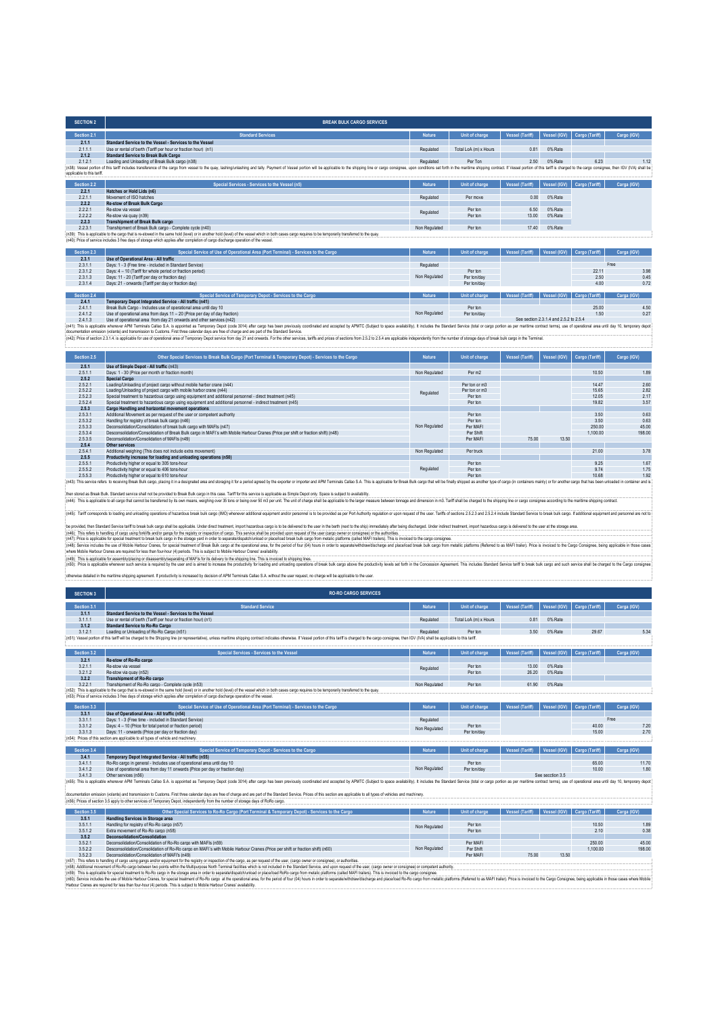| <b>SECTION 2</b>           | <b>BREAK BULK CARGO SERVICES</b>                                                                                                                                                                                               |               |                       |                        |              |                |             |
|----------------------------|--------------------------------------------------------------------------------------------------------------------------------------------------------------------------------------------------------------------------------|---------------|-----------------------|------------------------|--------------|----------------|-------------|
| Section 2.1                | <b>Standard Services</b>                                                                                                                                                                                                       | <b>Nature</b> | Unit of charge        | <b>Vessel (Tariff)</b> | Vessel (IGV) | Cargo (Tariff) | Cargo (IGV) |
| 2.1.1                      | Standard Service to the Vessel - Services to the Vessel                                                                                                                                                                        |               |                       |                        |              |                |             |
| 2.1.1.1                    | Use or rental of berth (Tariff per hour or fraction hour) (n1)                                                                                                                                                                 | Regulated     | Total LoA (m) x Hours | 0.81                   | 0% Rate      |                |             |
| 2.1.2                      | <b>Standard Service to Break Bulk Cargo</b>                                                                                                                                                                                    |               |                       |                        |              |                |             |
| 2.1.2.1                    | Loading and Unloading of Break Bulk cargo (n38)                                                                                                                                                                                | Regulated     | Per Ton               | 2.50                   | 0% Rate      | 6.23           | 11          |
| applicable to this tariff. | (n38): Vessel portion of this tariff includes transference of the cargo from vessel to the quay, lashinglunlashing and tally. Payment of Vessel portion will be applicable to the shipping line or cargo consignee, upon condi |               |                       |                        |              |                |             |
| Section 2.2                | Special Services - Services to the Vessel (n5)                                                                                                                                                                                 | <b>Nature</b> | Unit of charge        | <b>Vessel (Tariff)</b> | Vessel (IGV) | Cargo (Tariff) | Carga (IGV) |
| 2.2.1                      | Hatches or Hold Lids (n6)                                                                                                                                                                                                      |               |                       |                        |              |                |             |
| 2.2.1.1                    | Movement of ISO hatches                                                                                                                                                                                                        | Regulated     | Per move              | 0.00                   | 0% Rate      |                |             |
| 2.2.2                      | <b>Re-stow of Break Bulk Cargo</b>                                                                                                                                                                                             |               |                       |                        |              |                |             |
| 2.2.2.1                    | Re-stow via vessel                                                                                                                                                                                                             | Regulated     | Per ton               | 6.50                   | 0% Rate      |                |             |
| 2.2.2.2                    | Re-stow via quay (n39)                                                                                                                                                                                                         |               | Per ton               | 13.00                  | 0% Rate      |                |             |
| 2.2.3                      | <b>Transhipment of Break Bulk cargo</b>                                                                                                                                                                                        |               |                       |                        |              |                |             |
| 2231                       | Transhipment of Break Bulk cargo - Complete cycle (n40)                                                                                                                                                                        | Non Regulated | Per ton               | 17.40                  | 0% Rate      |                |             |
|                            | (n39): This is applicable to the cargo that is re-stowed in the same hold (level) or in another hold (level) of the vessel which in both cases cargo requires to be temporarily transferred to the quay.                       |               |                       |                        |              |                |             |
|                            | (n40): Price of service includes 3 free days of storage which applies after completion of cargo discharge operation of the vessel.                                                                                             |               |                       |                        |              |                |             |
| Section 2.3                | Special Service of Use of Operational Area (Port Terminal) - Services to the Cargo                                                                                                                                             | <b>Nature</b> | Unit of charge        | <b>Vessel (Tariff)</b> | Vessel (IGV) | Cargo (Tariff) | Carga (IGV) |
|                            | .                                                                                                                                                                                                                              |               |                       |                        |              |                |             |

| 2.3.1       | Use of Operational Area - All traffic                                     |               |                |                 |                             |             |
|-------------|---------------------------------------------------------------------------|---------------|----------------|-----------------|-----------------------------|-------------|
| 2.3.1.1     | Days: 1 - 3 (Free time - included in Standard Service)                    | Regulated     |                |                 |                             | Free        |
| 2.3.1.2     | Days: 4 - 10 (Tariff for whole period or fraction period)                 |               | Perton         |                 | 22.11                       | 3.91        |
| 2.3.1.3     | Days: 11 - 20 (Tariff per day or fraction day)                            | Non Regulated | Per ton/day    |                 | 2.50                        | 0.45        |
| 2.3.1.4     | Days: 21 - onwards (Tariff per day or fraction day)                       |               | Per ton/day    |                 | 4.00                        | 0.72        |
|             |                                                                           |               |                |                 |                             |             |
| Section 2.4 | Special Service of Temporary Depot - Services to the Cargo                | <b>Nature</b> | Unit of charge | Vessel (Tariff) | Vessel (IGV) Cargo (Tariff) | Carga (IGV) |
| 2.4.1       | Temporary Depot Integrated Service - All traffic (n41)                    |               |                |                 |                             |             |
| 2.4.1.1     | Break Bulk Cargo - Includes use of operational area until day 10          |               | Perton         |                 | 25.00                       | 4.5         |
| 2.4.1.2     | Use of operational area from days 11 - 20 (Price per day of day fraction) | Non Regulated | Per ton/day    |                 | 1.50                        | 0.2         |
|             |                                                                           |               |                |                 |                             |             |

24.1.3 Use of operational area from day 21.62.2 by a matery of property of the caps (n42) and there see the property constrained and accepted by APMTC (Subject to space availability). It includes the Standard Service (of U

| Section 2.5 | Other Special Services to Break Bulk Cargo (Port Terminal & Temporary Depot) - Services to the Cargo                                                                                                                           | <b>Nature</b> | Unit of charge     | <b>Vessel (Tariff)</b> | Vessel (IGV) | Cargo (Tariff) | Cargo (IGV) |
|-------------|--------------------------------------------------------------------------------------------------------------------------------------------------------------------------------------------------------------------------------|---------------|--------------------|------------------------|--------------|----------------|-------------|
| 2.5.1       | Use of Simple Depot - All traffic (n43)                                                                                                                                                                                        |               |                    |                        |              |                |             |
| 2.5.1.1     | Days: 1 - 30 (Price per month or fraction month)                                                                                                                                                                               | Non Regulated | Per m <sub>2</sub> |                        |              | 10.50          | 1.89        |
| 2.5.2       | <b>Special Cargo</b>                                                                                                                                                                                                           |               |                    |                        |              |                |             |
| 2.5.2.1     | Loading/Unloading of project cargo without mobile harbor crane (n44)                                                                                                                                                           |               | Per ton or m3      |                        |              | 14 47          | 2.60        |
| 2.5.2.2     | Loading/Unloading of project cargo with mobile harbor crane (n44)                                                                                                                                                              | Regulated     | Per ton or m3      |                        |              | 15.65          | 2.82        |
| 2.5.2.3     | Special treatment to hazardous cargo using equipment and additional personnel - direct treatment (n45)                                                                                                                         |               | Perton             |                        |              | 12.05          | 2.17        |
| 2.5.2.4     | Special treatment to hazardous cargo using equipment and additional personnel - indirect treatment (n45)                                                                                                                       |               | Perton             |                        |              | 19.82          | 3.57        |
| 2.5.3       | Cargo Handling and horizontal movement operations                                                                                                                                                                              |               |                    |                        |              |                |             |
| 2.5.3.1     | Additional Movement as per request of the user or competent authority                                                                                                                                                          |               | Perton             |                        |              | 3.50           | 0.63        |
| 2.5.3.2     | Handling for registry of break bulk cargo (n46)                                                                                                                                                                                |               | Perton             |                        |              | 3.50           | 0.63        |
| 2.5.3.3     | Deconsolidation/Consolidation of break bulk cargo with MAFIs (n47)                                                                                                                                                             | Non Regulated | Per MAFI           |                        |              | 250.00         | 45.00       |
| 2.5.3.4     | Desconsolidation/Consolidation of Break Bulk cargo in MAFI's with Mobile Harbour Cranes (Price per shift or fraction shift) (n48)                                                                                              |               | Per Shift          |                        |              | 1.100.00       | 198.00      |
| 2.5.3.5     | Deconsolidation/Consolidation of MAFIs (n49)                                                                                                                                                                                   |               | Per MAFI           | 75.00                  | 13.50        |                |             |
| 2.5.4       | Other services                                                                                                                                                                                                                 |               |                    |                        |              |                |             |
| 2.5.4.1     | Additional weighing (This does not include extra movement)                                                                                                                                                                     | Non Regulated | Per truck          |                        |              | 21.00          | 3.78        |
| 2.5.5       | Productivity increase for loading and unloading operations (n50)                                                                                                                                                               |               |                    |                        |              |                |             |
| 2.5.5.1     | Productivity higher or equal to 305 tons-hour                                                                                                                                                                                  |               | Perton             |                        |              | 9.25           | 1.67        |
| 2.5.5.2     | Productivity higher or equal to 406 tons-hour                                                                                                                                                                                  | Regulated     | Perton             |                        |              | 974            | 1.75        |
| 2.5.5.3     | Productivity higher or equal to 610 tons-hour                                                                                                                                                                                  |               | Perton             |                        |              | 10.68          | 1.92        |
|             | [n43]: This service refers to receiving Break Bulk cargo, placing it in a designated area and storaging it for a period agreed by the exporter or importer and APM Terminals Callao S.A. This is applicable for Break Bulk car |               |                    |                        |              |                |             |

then state Brake Service and including the provided break shake age in this case. Tanff this envior is exploite as Simpto Depot including to provide a Similar band and the first property including the state of the state of (e45): Tariff corresponds to beding and unloading operations of hazardous break bulk cargo (IMO) whenever additional equipment and/or personnel is to be provided as per Port Authority regulation or upon request of the user

be provided, then Standard Service tanff to break bulk cargo shall be applicable. Under direct treatment, import hazardous cargo is to be delivered to the user in the benth (next to the ship) immediately after being discha

(n45). This respland to read the mail of the mail of the mail of the mail of the spain of the spain of the spain of the spain of spain of plane plane of plane in the controller and the proper shall be provide use to make p

otherwise detailed in the maritime shipping agreement. If produce the marked by decision of APM Terminals Callao S.A. without the user request, no charge will be a

|  |  |  |  |  |  |  | And was accepted in the members and half all community in browsering in the energy of accepting on the members of the members the energy and all phonon or any and the members of the community of the second of the members o |  |
|--|--|--|--|--|--|--|--------------------------------------------------------------------------------------------------------------------------------------------------------------------------------------------------------------------------------|--|
|  |  |  |  |  |  |  |                                                                                                                                                                                                                                |  |
|  |  |  |  |  |  |  |                                                                                                                                                                                                                                |  |

| <b>SECTION 3</b> | <b>RO-RO CARGO SERVICES</b>                                                                                                                                                                                                    |               |                       |                 |         |                             |             |
|------------------|--------------------------------------------------------------------------------------------------------------------------------------------------------------------------------------------------------------------------------|---------------|-----------------------|-----------------|---------|-----------------------------|-------------|
| Section 3.1      | <b>Standard Service</b>                                                                                                                                                                                                        | <b>Nature</b> | Unit of charge        | Vessel (Tariff) |         | Vessel (IGV) Cargo (Tariff) | Carga (IGV) |
| 3.1.1            | Standard Service to the Vessel - Services to the Vessel                                                                                                                                                                        |               |                       |                 |         |                             |             |
| 3.1.1.1          | Use or rental of berth (Tariff per hour or fraction hour) (n1)                                                                                                                                                                 | Regulated     | Total LoA (m) x Hours | 0.81            | 0% Rate |                             |             |
| 3.1.2            | <b>Standard Service to Ro-Ro Cargo</b>                                                                                                                                                                                         |               |                       |                 |         |                             |             |
| 3121             | Loading or Unloading of Ro-Ro Cargo (n51)                                                                                                                                                                                      | Regulated     | Perton                | 3.50            | 0% Rate | 29.67                       | 5.34        |
|                  | : (n51): Vessel portion of this tariff will be charged to the Shipping line (or representative), unless maritime shipping contract indicates otherwise. If Vessel portion of this tariff is charged to the cargo consignee, th |               |                       |                 |         |                             |             |

| Section 3.2 | <b>Special Services - Services to the Vessel</b>                                                                                                                                                         | <b>Nature</b> | Unit of charge | Vessel (Tariff)        |              | Vessel (IGV) Cargo (Tariff) | Carga (IGV) |      |
|-------------|----------------------------------------------------------------------------------------------------------------------------------------------------------------------------------------------------------|---------------|----------------|------------------------|--------------|-----------------------------|-------------|------|
| 3.2.1       | Re-stow of Ro-Ro cargo                                                                                                                                                                                   |               |                |                        |              |                             |             |      |
| 3.2.1.1     | Re-stow via vessel                                                                                                                                                                                       | Regulated     | Per ton        | 13.00                  | 0% Rate      |                             |             |      |
| 3.2.1.2     | Re-stow via quay (n52)                                                                                                                                                                                   |               | Per ton        | 26.20                  | 0% Rate      |                             |             |      |
| 3.2.2       | <b>Transhipment of Ro-Ro cargo</b>                                                                                                                                                                       |               |                |                        |              |                             |             |      |
| 3.2.2.1     | Transhipment of Ro-Ro cargo - Complete cycle (n53)                                                                                                                                                       | Non Regulated | Per ton        | 61.90                  | 0% Rate      |                             |             |      |
|             | (n52): This is applicable to the cargo that is re-stowed in the same hold (level) or in another hold (level) of the vessel which in both cases cargo requires to be temporarily transferred to the quay. |               |                |                        |              |                             |             |      |
|             | (n53): Price of service includes 3 free days of storage which applies after completion of cargo discharge operation of the yessel.                                                                       |               |                |                        |              |                             |             |      |
|             |                                                                                                                                                                                                          |               |                |                        |              |                             |             |      |
| Section 3.3 | Special Service of Use of Operational Area (Port Terminal) - Services to the Cargo                                                                                                                       | <b>Nature</b> | Unit of charge | <b>Vessel (Tariff)</b> | Vessel (IGV) | Cargo (Tariff)              | Carga (IGV) |      |
| 3.3.1       | Use of Operational Area - All traffic (n54)                                                                                                                                                              |               |                |                        |              |                             |             |      |
| 3.3.1.1     | Days: 1 - 3 (Free time - included in Standard Service)                                                                                                                                                   | Regulated     |                |                        |              |                             | Free        |      |
| 3.3.1.2     | Days: 4 - 10 (Price for total period or fraction period)                                                                                                                                                 | Non Regulated | Per ton        |                        |              | 40.00                       |             | 7.21 |
| 3.3.1.3     | Days: 11 - onwards (Price per day or fraction day)                                                                                                                                                       |               | Per ton/day    |                        |              | 15.00                       | 2.7(        |      |
|             | (n54): Prices of this section are applicable to all types of vehicle and machinery.                                                                                                                      |               |                |                        |              |                             |             |      |
|             |                                                                                                                                                                                                          |               |                |                        |              |                             |             |      |
| Section 3.4 | Special Service of Temporary Depot - Services to the Cargo                                                                                                                                               | <b>Nature</b> | Unit of charge | Vessel (Tariff)        | Vessel (IGV) | Cargo (Tariff)              | Carga (IGV) |      |
| 3.4.1       | Temporary Depot Integrated Service - All traffic (n55)                                                                                                                                                   |               |                |                        |              |                             |             |      |
| 3411        | Ro. Ro. camp in general - Includes use of operational area until day 10                                                                                                                                  |               | <b>Darton</b>  |                        |              | 65.00                       | 1171        |      |

3.4.1.1 Ro-Rocaraged includes use of operational anear and data 10 minutes of the main and and and the state of the main and the main of the state of the main of the main and the main of the main of the main of the main of Non Regulated Per ton/day See secction 3.5

documentation emission (volante) and transmission to Customs. First three calendar days are free of charge and are part of the Standard Service. Prices of this section are applicable to all types of vehicles and machinery.

| Section 3.5 | Other Special Services to Ro-Ro Cargo (Port Terminal & Temporary Depot) - Services to the Cargo                                                                                                                                | <b>Nature</b> | Unit of charge | Vessel (Tariff) |       | Vessel (IGV) Cargo (Tariff) | Carga (IGV) |  |  |  |  |
|-------------|--------------------------------------------------------------------------------------------------------------------------------------------------------------------------------------------------------------------------------|---------------|----------------|-----------------|-------|-----------------------------|-------------|--|--|--|--|
| 3.5.1       | Handling Services in Storage area                                                                                                                                                                                              |               |                |                 |       |                             |             |  |  |  |  |
| 3.5.1.1     | Handling for registry of Ro-Ro cargo (n57)                                                                                                                                                                                     | Non Regulated | Per ton        |                 |       | 10.50                       | 1.89        |  |  |  |  |
| 3.5.1.2     | Extra movement of Ro-Ro cargo (n58)                                                                                                                                                                                            |               | Per ton        |                 |       | 2.10                        | 0.38        |  |  |  |  |
| 3.5.2       | Deconsolidation/Consolidation                                                                                                                                                                                                  |               |                |                 |       |                             |             |  |  |  |  |
| 3.5.2.1     | Deconsolidation/Consolidation of Ro-Ro cargo with MAFIs (n59)                                                                                                                                                                  |               | Per MAFI       |                 |       | 250.00                      | 45.00       |  |  |  |  |
| 3.5.2.2     | Desconsolidation/Consolidation of Ro-Ro cargo en MAFI's with Mobile Harbour Cranes (Price per shift or fraction shift) (n60)                                                                                                   | Non Regulated | Per Shift      |                 |       | 1.100.00                    | 198.00      |  |  |  |  |
| 3.5.2.3     | Deconsolidation/Consolidation of MAFI's (n49)                                                                                                                                                                                  |               | Per MAFI       | 75.00           | 13.50 |                             |             |  |  |  |  |
|             | [n57]: This refers to handling of cargo using gangs and/or equipment for the registry or inspection of the cargo, as per request of the user, (cargo owner or consignee), or authorities.                                      |               |                |                 |       |                             |             |  |  |  |  |
|             | (n58): Additional movement of Ro-Ro cargo between two points within the Multipurpose North Terminal facilities which is not included in the Standard Service, and upon request of the user, (cargo owner or consignee) or comp |               |                |                 |       |                             |             |  |  |  |  |

(n53). Addinal movement of Re-Rospond the movement of positive the movement of in Terment schement in the Security and the Security and the the conservative of the security and the security and the security and the securit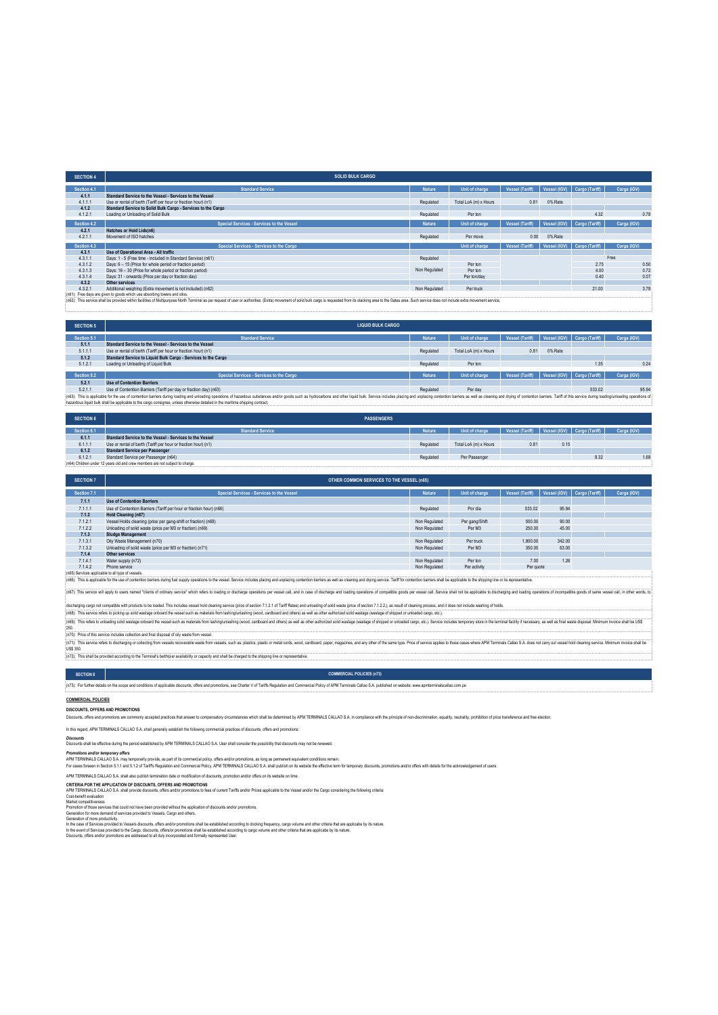| <b>SOLID BULK CARGO</b>                                                   |                |                       |                                                                                                                                                                                                                                |              |                |                                                                 |
|---------------------------------------------------------------------------|----------------|-----------------------|--------------------------------------------------------------------------------------------------------------------------------------------------------------------------------------------------------------------------------|--------------|----------------|-----------------------------------------------------------------|
| <b>Standard Service</b>                                                   | <b>Nature</b>  | Unit of charge        | <b>Vessel (Tariff)</b>                                                                                                                                                                                                         |              | Cargo (Tariff) | Carga (IGV)                                                     |
| Standard Service to the Vessel - Services to the Vessel                   |                |                       |                                                                                                                                                                                                                                |              |                |                                                                 |
| Use or rental of berth (Tariff per hour or fraction hour) (n1)            | Regulated      | Total LoA (m) x Hours | 0.81                                                                                                                                                                                                                           | 0% Rate      |                |                                                                 |
| Standard Service to Solid Bulk Cargo - Services to the Cargo              |                |                       |                                                                                                                                                                                                                                |              |                |                                                                 |
| Loading or Unloading of Solid Bulk                                        | Regulated      | Per ton               |                                                                                                                                                                                                                                |              | 4.32           | 0.78                                                            |
| Special Services - Services to the Vessel                                 | <b>Nature</b>  | Unit of charge        | <b>Vessel (Tariff)</b>                                                                                                                                                                                                         | Vessel (IGV) | Cargo (Tariff) | Carga (IGV)                                                     |
| Hatches or Hold Lids(n6)                                                  |                |                       |                                                                                                                                                                                                                                |              |                |                                                                 |
| Movement of ISO hatches                                                   | Regulated      | Per move              | 0.00                                                                                                                                                                                                                           | 0% Rate      |                |                                                                 |
| Special Services - Services to the Cargo                                  |                | Unit of charge        |                                                                                                                                                                                                                                |              |                | Carga (IGV)                                                     |
| Use of Operational Area - All traffic                                     |                |                       |                                                                                                                                                                                                                                |              |                |                                                                 |
| Days: 1 - 5 (Free time - included in Standard Service) (n61)              | Regulated      |                       |                                                                                                                                                                                                                                |              |                | Free                                                            |
| Days: 6 - 15 (Price for whole period or fraction period)                  |                | Per ton               |                                                                                                                                                                                                                                |              | 2.75           | 0.50                                                            |
| Days: 16 - 30 (Price for whole period or fraction period)                 |                | Per ton               |                                                                                                                                                                                                                                |              | 4.00           | 0.72                                                            |
| Days: 31 - onwards (Price per day or fraction day)                        |                | Per ton/day           |                                                                                                                                                                                                                                |              | 0.40           | 0.07                                                            |
|                                                                           |                |                       |                                                                                                                                                                                                                                |              |                |                                                                 |
| Additional weighing (Extra movement is not included) (n62)                | Non Regulated  | Per truck             |                                                                                                                                                                                                                                |              | 21.00          | 3.78                                                            |
| (n61): Free days are given to goods which use absorbing towers and silos. |                |                       |                                                                                                                                                                                                                                |              |                |                                                                 |
|                                                                           | Other services | Non Regulated         | LAN THE COLUMN CONTRACT AND CONTRACT AND COLUMN TO ACCEPTANT COLUMN CONTRACT AND ACCEPTANT COLUMN CONTRACT AND COLUMN CONTRACT AND COLUMN CONTRACT AND COLUMN CONTRACT OF A COLUMN COLUMN CONTRACT OF A COLUMN COLUMN CONTRACT |              |                | Vessel (IGV)<br>Vessel (Tariff)   Vessel (IGV)   Cargo (Tariff) |

from its stacking area to the Ga

| <b>SECTION 5</b>                                                                                                                                                                                                               | <b>LIQUID BULK CARGO</b>                                          |               |                       |                        |         |                             |             |
|--------------------------------------------------------------------------------------------------------------------------------------------------------------------------------------------------------------------------------|-------------------------------------------------------------------|---------------|-----------------------|------------------------|---------|-----------------------------|-------------|
| Section 5.1                                                                                                                                                                                                                    | <b>Standard Service</b>                                           | <b>Nature</b> | Unit of charge        | Vessel (Tariff)        |         | Vessel (IGV) Cargo (Tariff) | Carga (IGV) |
| 5.1.1                                                                                                                                                                                                                          | Standard Service to the Vessel - Services to the Vessel           |               |                       |                        |         |                             |             |
| 5.1.1.1                                                                                                                                                                                                                        | Use or rental of berth (Tariff per hour or fraction hour) (n1)    | Regulated     | Total LoA (m) x Hours | $0.8^{\circ}$          | 0% Rate |                             |             |
| 5.1.2                                                                                                                                                                                                                          | Standard Service to Liquid Bulk Cargo - Services to the Cargo     |               |                       |                        |         |                             |             |
| 5.1.2.1                                                                                                                                                                                                                        | Loading or Unloading of Liquid Bulk                               | Regulated     | Perton                |                        |         | 1.35                        | 0.24        |
|                                                                                                                                                                                                                                |                                                                   |               |                       |                        |         |                             |             |
| Section 5.2                                                                                                                                                                                                                    | Special Services - Services to the Cargo                          | <b>Nature</b> | Unit of charge        | <b>Vessel (Tariff)</b> |         | Vessel (IGV) Cargo (Tariff) | Carga (IGV) |
| 5.2.1                                                                                                                                                                                                                          | <b>Use of Contention Barriers</b>                                 |               |                       |                        |         |                             |             |
| 5.2.1.1                                                                                                                                                                                                                        | Use of Contention Barriers (Tariff per day or fraction day) (n63) | Regulated     | Perday                |                        |         | 533.02                      | 95.94       |
| (n63): This is applicable for the use of contention barriers during loading and unloading operations of hazardous substances and/or goods such as hydrocarbons and other liquid bulk. Service includes placing and unplacing c |                                                                   |               |                       |                        |         |                             |             |
| hazardous liquid bulk shall be applicable to the cargo consignee, unless otherwise detailed in the maritime shipping contract.                                                                                                 |                                                                   |               |                       |                        |         |                             |             |

| <b>SECTION 6</b>                                                              | <b>PASSENGERS</b>                                              |               |                       |                                                 |      |      |             |
|-------------------------------------------------------------------------------|----------------------------------------------------------------|---------------|-----------------------|-------------------------------------------------|------|------|-------------|
| Section 6.1                                                                   | <b>Standard Service</b>                                        | <b>Nature</b> | Unit of charge        | Vessel (Tariff)   Vessel (IGV)   Cargo (Tariff) |      |      | Carga (IGV) |
| 6.1.1                                                                         | Standard Service to the Vessel - Services to the Vessel        |               |                       |                                                 |      |      |             |
| 6.1.1.1                                                                       | Use or rental of berth (Tariff per hour or fraction hour) (n1) | Regulated     | Total LoA (m) x Hours | 0.81                                            | 0.15 |      |             |
| 6.1.2                                                                         | <b>Standard Service per Passenger</b>                          |               |                       |                                                 |      |      |             |
| 6.1.2.1                                                                       | Standard Service per Passenger (n64)                           | Regulated     | Per Passenger         |                                                 |      | 9.32 | 1.68        |
| (n64) Children under 12 years old and crew members are not subject to charge. |                                                                |               |                       |                                                 |      |      |             |

| <b>SECTION 7</b>                                 | <b>OTHER COMMON SERVICES TO THE VESSEL (n65)</b>                    |               |                |                 |              |                |             |  |
|--------------------------------------------------|---------------------------------------------------------------------|---------------|----------------|-----------------|--------------|----------------|-------------|--|
| Section 7.1                                      | Special Services - Services to the Vessel                           | <b>Nature</b> | Unit of charge | Vessel (Tariff) | Vessel (IGV) | Cargo (Tariff) | Carga (IGV) |  |
| 7.1.1                                            | <b>Use of Contention Barriers</b>                                   |               |                |                 |              |                |             |  |
| 7.1.1.1                                          | Use of Contention Barriers (Tariff per hour or fraction hour) (n66) | Regulated     | Pordía         | 533.02          | 95.94        |                |             |  |
| 7.1.2                                            | <b>Hold Cleaning (n67)</b>                                          |               |                |                 |              |                |             |  |
| 7.1.2.1                                          | Vessel Holds cleaning (price per gang-shift or fraction) (n68)      | Non Regulated | Per gang/Shift | 500.00          | 90.00        |                |             |  |
| 7.1.2.2                                          | Unloading of solid waste (price per M3 or fraction) (n69)           | Non Regulated | Per M3         | 250.00          | 45.00        |                |             |  |
| 7.1.3                                            | <b>Sludge Management</b>                                            |               |                |                 |              |                |             |  |
| 7.1.3.1                                          | Oily Waste Management (n70)                                         | Non Regulated | Per truck      | 1.900.00        | 342.00       |                |             |  |
| 7.1.3.2                                          | Unloading of solid waste (price per M3 or fraction) (n71)           | Non Regulated | Per M3         | 350.00          | 63.00        |                |             |  |
| 7.1.4                                            | Other services                                                      |               |                |                 |              |                |             |  |
| 7.1.4.1                                          | Water supply (n72)                                                  | Non Regulated | Per ton        | 7.00            | 1.26         |                |             |  |
| 7.1.4.2                                          | Phone service                                                       | Non Regulated | Per activity   | Per quote       |              |                |             |  |
| (n65) Services applicable to all type of vessels |                                                                     |               |                |                 |              |                |             |  |

(r65) Services applicable to all type of vessels.<br>(r65): This is applicable for the use of contention barriers during fuel supply operations to the vessel. Service includes placing and unplacing contention barriers as well

(n5); This service will apply to users named "dients of ordinary service" which refers to loading or discharge operations per vessel call, and in case of discharge and loading operations compatible goods per vessel call. E

discharging cargo not compatible with products to te basted. This includes wessel hold deaming service (piecer discolor 7.1.2.1 of Tariff Rates) and unloading of solid water (price of section 7.1.2.2), as result of clearin (170): This reters to university solid wastege oritoard the vesser such as materials from resear.<br>250.<br>(n70): Price of this service includes collection and final disposal of oily waste from vessel.

(n7t): Pice of his serice includes colection and frail disposal of oly waste from vessel.<br>(n7t): This ender the back and the disposable material ender was the form vessels, such as platifics, plastic metal costs, wood, car

**COMMERCIAL POLICIES (n73)**

(n72): This shall be provided according to the Terminal's berth/pier availability or capacity and shall be charged to the shipping line or representative.

# **SECTION 8**

(n73): For further details on the scope and conditions of applicable discounts, offers and promotions, see Charter V of Tariffs Regulation and Commercial Policy of APM Terminals Callao S.A. published on website: www.apmter

### **COMMERCIAL POLICIES**

**DISCOUNTS, OFFERS AND PROMOTIONS**

successive is a curve of contract a superfect product and the server to compensatory circumstances which shall be determined by APM TERMINALS CALLAO S.A in compliance with the principle of non-discrimination, equality, neu

### In this regard, APM TERMINALS CALLAO S.A. shall generally establish the following commercial practices of discounts, offers and promotions:

*Discounts* Discounts shall be effective during the period established by APM TERMINALS CALLAO S.A. User shall consider the possibility that discounts may not be renewed.

*Promotions and/or temporary offers*

APM TERMINAS CALLAO SA may temporatify provide, as part of is commercial policy offers and/or promotions, as long as permanent equivalent conditions remain.<br>For cases forsem in Section 5.1.1 and 5.12 of Tariffs Regulation

APM TERMINALS CALLAO S.A. shall also publish termination date or modification of discounts, promotion and/or offers on its website on time.

CRITERIA POR THE APPLICATION OF DISCOUNTS, OFFERS AND PROMOTIONS<br>APM TERMINALS CALLAO S.A. shall provide discounts, offers and/or promotions to fees of current Tariffs and/or Prices applicable to the Vessel and/or the Carg

Cost-bonelle maluation<br>Market competitiveness<br>Narket competitiveness<br>Generation of more semices that could not have been provided without the application of discounts and/or promotions.<br>Generation of more productivity.<br>Gen

In the case of Services provided to Vessels discounts, offers and/or promotions shall be established according to docking frequency, cargo volume and other criteria that are applicabe by its nature.<br>In the event of Service

Discounts, offers and/or promotions are addressed to all duly incorporated and formally represented User.